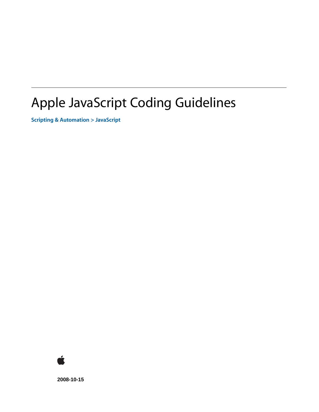# Apple JavaScript Coding Guidelines

**Scripting & Automation > JavaScript**



**2008-10-15**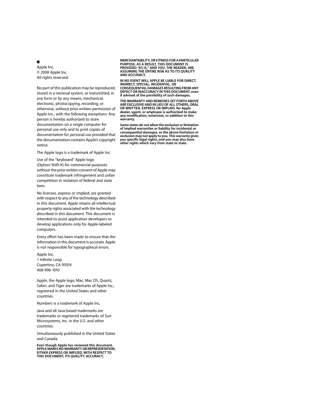#### á

Apple Inc. © 2008 Apple Inc. All rights reserved.

No part of this publication may be reproduced, stored in a retrieval system, or transmitted, in any form or by any means, mechanical, electronic, photocopying, recording, or otherwise, without prior written permission of Apple Inc., with the following exceptions: Any person is hereby authorized to store documentation on a single computer for personal use only and to print copies of documentation for personal use provided that the documentation contains Apple's copyright notice.

The Apple logo is a trademark of Apple Inc.

Use of the "keyboard" Apple logo (Option-Shift-K) for commercial purposes without the prior written consent of Apple may constitute trademark infringement and unfair competition in violation of federal and state laws.

No licenses, express or implied, are granted with respect to any of the technology described in this document. Apple retains all intellectual property rights associated with the technology described in this document. This document is intended to assist application developers to develop applications only for Apple-labeled computers.

Every effort has been made to ensure that the information in this document is accurate. Apple is not responsible for typographical errors.

Apple Inc. 1 Infinite Loop Cupertino, CA 95014 408-996-1010

Apple, the Apple logo, Mac, Mac OS, Quartz, Safari, and Tiger are trademarks of Apple Inc., registered in the United States and other countries.

Numbers is a trademark of Apple Inc.

Java and all Java-based trademarks are trademarks or registered trademarks of Sun Microsystems, Inc. in the U.S. and other countries.

Simultaneously published in the United States and Canada.

**Even though Apple has reviewed this document, APPLE MAKESNOWARRANTYOR REPRESENTATION, EITHER EXPRESS OR IMPLIED, WITH RESPECT TO THIS DOCUMENT, ITS QUALITY, ACCURACY,**

**MERCHANTABILITY,OR FITNESS FOR A PARTICULAR PURPOSE. AS A RESULT, THIS DOCUMENT IS PROVIDED "AS IS," AND YOU, THE READER, ARE ASSUMING THE ENTIRE RISK AS TO ITS QUALITY AND ACCURACY.**

**IN NO EVENT WILL APPLE BE LIABLE FOR DIRECT, INDIRECT, SPECIAL, INCIDENTAL, OR CONSEQUENTIALDAMAGES RESULTINGFROM ANY DEFECT OR INACCURACY IN THIS DOCUMENT, even if advised of the possibility of such damages.**

**THE WARRANTY AND REMEDIES SET FORTH ABOVE ARE EXCLUSIVE AND IN LIEU OF ALL OTHERS, ORAL OR WRITTEN, EXPRESS OR IMPLIED. No Apple dealer, agent, or employee is authorized to make any modification, extension, or addition to this warranty.**

**Some states do not allow the exclusion orlimitation of implied warranties or liability for incidental or consequential damages, so the above limitation or exclusion may not apply to you. This warranty gives you specific legal rights, and you may also have other rights which vary from state to state.**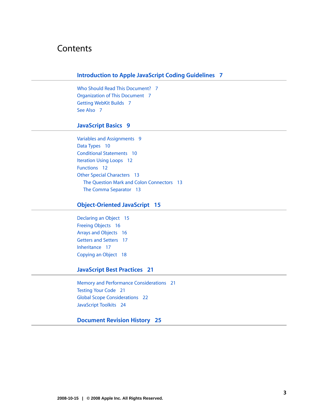#### **Contents**

#### **[Introduction](#page-6-0) to Apple JavaScript Coding Guidelines 7**

Who Should Read This [Document?](#page-6-1) 7 [Organization](#page-6-2) of This Document 7 [Getting](#page-6-3) WebKit Builds 7 See [Also](#page-6-4) 7

#### **[JavaScript](#page-8-0) Basics 9**

Variables and [Assignments](#page-8-1) 9 Data [Types](#page-9-0) 10 [Conditional](#page-9-1) Statements 10 [Iteration](#page-11-0) Using Loops 12 [Functions](#page-11-1) 12 Other Special [Characters](#page-12-0) 13 The Question Mark and Colon [Connectors](#page-12-1) 13 The Comma [Separator](#page-12-2) 13

#### **[Object-Oriented](#page-14-0) JavaScript 15**

[Declaring](#page-14-1) an Object 15 Freeing [Objects](#page-15-0) 16 Arrays and [Objects](#page-15-1) 16 [Getters](#page-16-0) and Setters 17 [Inheritance](#page-16-1) 17 [Copying](#page-17-0) an Object 18

#### **[JavaScript](#page-20-0) Best Practices 21**

Memory and Performance [Considerations](#page-20-1) 21 [Testing](#page-20-2) Your Code 21 Global Scope [Considerations](#page-21-0) 22 [JavaScript](#page-23-0) Toolkits 24

**[Document](#page-24-0) Revision History 25**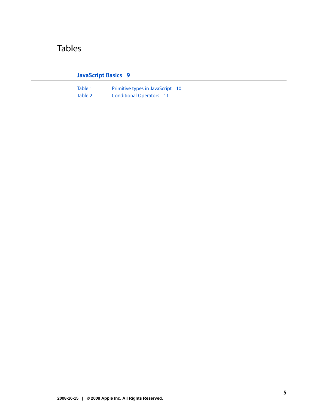## Tables

#### **[JavaScript](#page-8-0) Basics 9**

[Table](#page-9-2) 1 Primitive types in [JavaScript](#page-9-2) 10 [Table](#page-10-0) 2 [Conditional](#page-10-0) Operators 11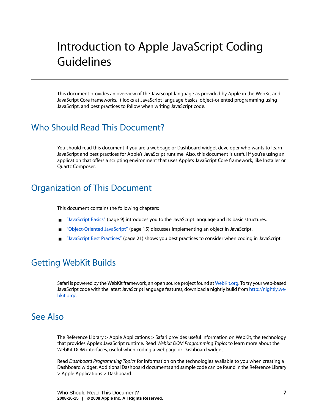## <span id="page-6-0"></span>Introduction to Apple JavaScript Coding Guidelines

<span id="page-6-1"></span>This document provides an overview of the JavaScript language as provided by Apple in the WebKit and JavaScript Core frameworks. It looks at JavaScript language basics, object-oriented programming using JavaScript, and best practices to follow when writing JavaScript code.

#### Who Should Read This Document?

You should read this document if you are a webpage or Dashboard widget developer who wants to learn JavaScript and best practices for Apple's JavaScript runtime. Also, this document is useful if you're using an application that offers a scripting environment that uses Apple's JavaScript Core framework, like Installer or Quartz Composer.

#### <span id="page-6-2"></span>Organization of This Document

This document contains the following chapters:

- ["JavaScript](#page-8-0) Basics" (page 9) introduces you to the JavaScript language and its basic structures.
- ["Object-Oriented](#page-14-0) JavaScript" (page 15) discusses implementing an object in JavaScript.
- ["JavaScript](#page-20-0) Best Practices" (page 21) shows you best practices to consider when coding in JavaScript.

#### <span id="page-6-4"></span><span id="page-6-3"></span>Getting WebKit Builds

Safari is powered by the WebKit framework, an open source project found at [WebKit.org.](http://www.webkit.org/) To try your web-based JavaScript code with the latest JavaScript language features, download a nightly build from [http://nightly.we](http://nightly.webkit.org/)[bkit.org/](http://nightly.webkit.org/).

### See Also

The Reference Library > Apple Applications > Safari provides useful information on WebKit, the technology that provides Apple's JavaScript runtime. Read *WebKit DOM Programming Topics* to learn more about the WebKit DOM interfaces, useful when coding a webpage or Dashboard widget.

Read *Dashboard Programming Topics* for information on the technologies available to you when creating a Dashboard widget. Additional Dashboard documents and sample code can be found in the Reference Library > Apple Applications > Dashboard.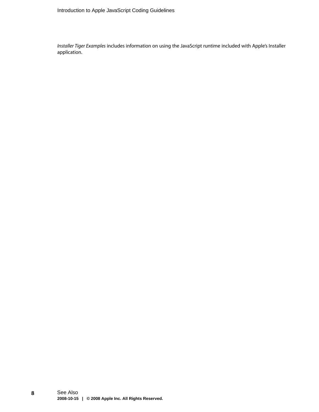*Installer Tiger Examples* includes information on using the JavaScript runtime included with Apple's Installer application.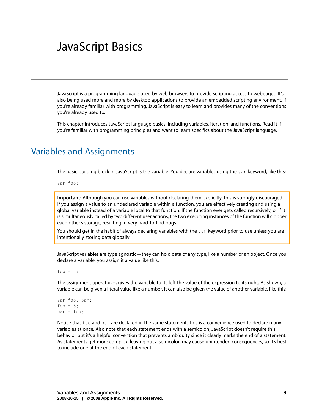## <span id="page-8-0"></span>JavaScript Basics

JavaScript is a programming language used by web browsers to provide scripting access to webpages. It's also being used more and more by desktop applications to provide an embedded scripting environment. If you're already familiar with programming, JavaScript is easy to learn and provides many of the conventions you're already used to.

This chapter introduces JavaScript language basics, including variables, iteration, and functions. Read it if you're familiar with programming principles and want to learn specifics about the JavaScript language.

#### <span id="page-8-1"></span>Variables and Assignments

The basic building block in JavaScript is the variable. You declare variables using the var keyword, like this:

var foo;

**Important:** Although you can use variables without declaring them explicitly, this is strongly discouraged. If you assign a value to an undeclared variable within a function, you are effectively creating and using a global variable instead of a variable local to that function. If the function ever gets called recursively, or if it is simultaneously called by two different user actions, the two executing instances of the function will clobber each other's storage, resulting in very hard-to-find bugs.

You should get in the habit of always declaring variables with the var keyword prior to use unless you are intentionally storing data globally.

JavaScript variables are type agnostic—they can hold data of any type, like a number or an object. Once you declare a variable, you assign it a value like this:

 $foo = 5$ ;

The assignment operator, =, gives the variable to its left the value of the expression to its right. As shown, a variable can be given a literal value like a number. It can also be given the value of another variable, like this:

```
var foo, bar;
foo = 5;bar = foo:
```
Notice that foo and bar are declared in the same statement. This is a convenience used to declare many variables at once. Also note that each statement ends with a semicolon; JavaScript doesn't require this behavior but it's a helpful convention that prevents ambiguity since it clearly marks the end of a statement. As statements get more complex, leaving out a semicolon may cause unintended consequences, so it's best to include one at the end of each statement.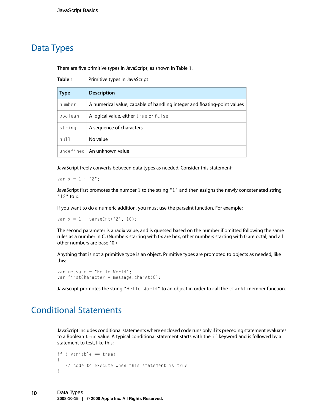### <span id="page-9-0"></span>Data Types

<span id="page-9-2"></span>There are five primitive types in JavaScript, as shown in Table 1.

**Table 1** Primitive types in JavaScript

| <b>Type</b> | <b>Description</b>                                                       |
|-------------|--------------------------------------------------------------------------|
| number      | A numerical value, capable of handling integer and floating-point values |
| boolean     | A logical value, either true or false                                    |
| string      | A sequence of characters                                                 |
| null        | No value                                                                 |
|             | undefined   An unknown value                                             |

JavaScript freely converts between data types as needed. Consider this statement:

var  $x = 1 + "2";$ 

JavaScript first promotes the number 1 to the string "1" and then assigns the newly concatenated string "12" to x.

If you want to do a numeric addition, you must use the parseInt function. For example:

var  $x = 1 + \text{parseInt("2", 10)}$ ;

The second parameter is a radix value, and is guessed based on the number if omitted following the same rules as a number in C. (Numbers starting with 0x are hex, other numbers starting with 0 are octal, and all other numbers are base 10.)

Anything that is not a primitive type is an object. Primitive types are promoted to objects as needed, like this:

```
var message = "Hello World";
var firstCharacter = message.charAt(0);
```
JavaScript promotes the string "Hello World" to an object in order to call the charAt member function.

### Conditional Statements

JavaScript includes conditional statements where enclosed code runs only if its preceding statement evaluates to a Boolean true value. A typical conditional statement starts with the if keyword and is followed by a statement to test, like this:

```
if ( variable == true)
{
  // code to execute when this statement is true
}
```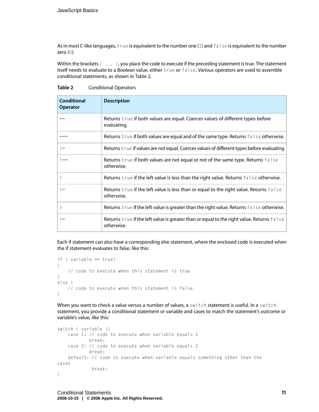As in most C-like languages, true is equivalent to the number one (1) and false is equivalent to the number zero (0).

Within the brackets  $\{\ldots\}$ , you place the code to execute if the preceding statement is true. The statement itself needs to evaluate to a Boolean value, either true or false. Various operators are used to assemble conditional statements, as shown in Table 2.

| <b>Conditional</b><br><b>Operator</b> | <b>Description</b>                                                                                      |
|---------------------------------------|---------------------------------------------------------------------------------------------------------|
| $=$                                   | Returns true if both values are equal. Coerces values of different types before<br>evaluating.          |
| $==$                                  | Returns true if both values are equal and of the same type. Returns $fa$ is e otherwise.                |
| $!=$                                  | Returns true if values are not equal. Coerces values of different types before evaluating               |
| $!=$                                  | Returns true if both values are not equal or not of the same type. Returns false<br>otherwise.          |
| $\lt$                                 | Returns true if the left value is less than the right value. Returns false otherwise.                   |
| $\left( =\right.$                     | Returns true if the left value is less than or equal to the right value. Returns false<br>otherwise.    |
| $\left\langle \right\rangle$          | Returns true if the left value is greater than the right value. Returns false otherwise.                |
| $\rangle =$                           | Returns true if the left value is greater than or equal to the right value. Returns false<br>otherwise. |

<span id="page-10-0"></span>**Table 2** Conditional Operators

Each if statement can also have a corresponding else statement, where the enclosed code is executed when the if statement evaluates to false, like this:

```
if ( variable == true)
{
    // code to execute when this statement is true
}
else {
    // code to execute when this statement is false
}
```
When you want to check a value versus a number of values, a switch statement is useful. In a switch statement, you provide a conditional statement or variable and cases to match the statement's outcome or variable's value, like this:

```
switch ( variable ){
    case 1: // code to execute when variable equals 1
            break;
    case 2: // code to execute when variable equals 2
            break;
   default: // code to execute when variable equals something other than the
cases
             break;
}
```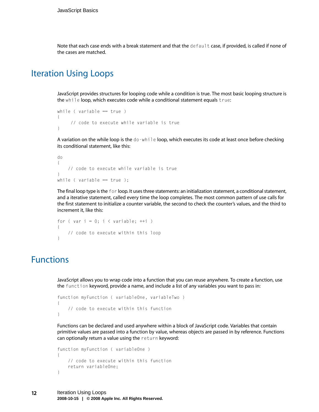Note that each case ends with a break statement and that the default case, if provided, is called if none of the cases are matched.

#### <span id="page-11-0"></span>Iteration Using Loops

JavaScript provides structures for looping code while a condition is true. The most basic looping structure is the while loop, which executes code while a conditional statement equals true:

```
while ( variable == true )
{
     // code to execute while variable is true
}
```
A variation on the while loop is the do-while loop, which executes its code at least once before checking its conditional statement, like this:

```
do
{
    // code to execute while variable is true
}
while ( variable == true );
```
The final loop type is the for loop. It uses three statements: an initialization statement, a conditional statement, and a iterative statement, called every time the loop completes. The most common pattern of use calls for the first statement to initialize a counter variable, the second to check the counter's values, and the third to increment it, like this:

```
for ( var i = 0; i \lt variable; ++i )
{
    // code to execute within this loop
}
```
#### <span id="page-11-1"></span>**Functions**

JavaScript allows you to wrap code into a function that you can reuse anywhere. To create a function, use the function keyword, provide a name, and include a list of any variables you want to pass in:

```
function myFunction ( variableOne, variableTwo )
{
    // code to execute within this function
}
```
Functions can be declared and used anywhere within a block of JavaScript code. Variables that contain primitive values are passed into a function by value, whereas objects are passed in by reference. Functions can optionally return a value using the return keyword:

```
function myFunction ( variableOne )
{
   // code to execute within this function
   return variableOne;
}
```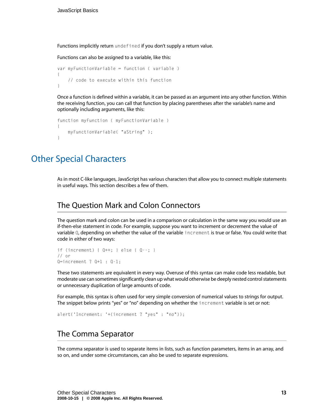JavaScript Basics

Functions implicitly return undefined if you don't supply a return value.

Functions can also be assigned to a variable, like this:

```
var myFunctionVariable = function ( variable )
{
   // code to execute within this function
}
```
Once a function is defined within a variable, it can be passed as an argument into any other function. Within the receiving function, you can call that function by placing parentheses after the variable's name and optionally including arguments, like this:

```
function myFunction ( myFunctionVariable )
{
   myFunctionVariable( "aString" );
}
```
#### <span id="page-12-0"></span>Other Special Characters

<span id="page-12-1"></span>As in most C-like languages, JavaScript has various characters that allow you to connect multiple statements in useful ways. This section describes a few of them.

#### The Question Mark and Colon Connectors

The question mark and colon can be used in a comparison or calculation in the same way you would use an if-then-else statement in code. For example, suppose you want to increment or decrement the value of variable Q, depending on whether the value of the variable increment is true or false. You could write that code in either of two ways:

if (increment) { Q++; } else { Q--; } // or  $Q =$ increment ?  $Q + 1$  :  $Q - 1$ ;

These two statements are equivalent in every way. Overuse of this syntax can make code less readable, but moderate use can sometimes significantly clean up what would otherwise be deeply nested control statements or unnecessary duplication of large amounts of code.

<span id="page-12-2"></span>For example, this syntax is often used for very simple conversion of numerical values to strings for output. The snippet below prints "yes" or "no" depending on whether the increment variable is set or not:

```
alert('Increment: '+(increment ? "yes" : "no"));
```
#### The Comma Separator

The comma separator is used to separate items in lists, such as function parameters, items in an array, and so on, and under some circumstances, can also be used to separate expressions.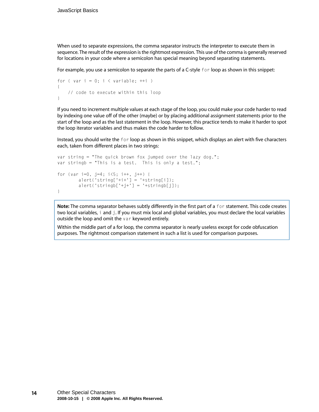JavaScript Basics

When used to separate expressions, the comma separator instructs the interpreter to execute them in sequence. The result of the expression is the rightmost expression. This use of the comma is generally reserved for locations in your code where a semicolon has special meaning beyond separating statements.

For example, you use a semicolon to separate the parts of a C-style for loop as shown in this snippet:

```
for ( var i = 0; i \lt variable; ++i)
{
    // code to execute within this loop
}
```
If you need to increment multiple values at each stage of the loop, you could make your code harder to read by indexing one value off of the other (maybe) or by placing additional assignment statements prior to the start of the loop and as the last statement in the loop. However, this practice tends to make it harder to spot the loop iterator variables and thus makes the code harder to follow.

Instead, you should write the for loop as shown in this snippet, which displays an alert with five characters each, taken from different places in two strings:

```
var string = "The quick brown fox jumped over the lazy dog.";
var stringb = "This is a test. This is only a test.";
for (var i=0, j=4; i < 5; i++, j++) {
       alert('string['+i+'] = '+string[i]);
       alert('stringb['+j+'] = '+stringb[j]);}
```
**Note:** The comma separator behaves subtly differently in the first part of a for statement. This code creates two local variables, i and j. If you must mix local and global variables, you must declare the local variables outside the loop and omit the var keyword entirely.

Within the middle part of a for loop, the comma separator is nearly useless except for code obfuscation purposes. The rightmost comparison statement in such a list is used for comparison purposes.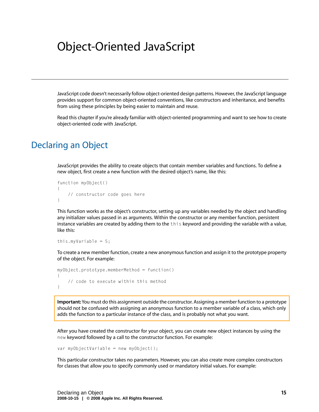## <span id="page-14-0"></span>Object-Oriented JavaScript

JavaScript code doesn't necessarily follow object-oriented design patterns. However, the JavaScript language provides support for common object-oriented conventions, like constructors and inheritance, and benefits from using these principles by being easier to maintain and reuse.

Read this chapter if you're already familiar with object-oriented programming and want to see how to create object-oriented code with JavaScript.

#### <span id="page-14-1"></span>Declaring an Object

JavaScript provides the ability to create objects that contain member variables and functions. To define a new object, first create a new function with the desired object's name, like this:

```
function myObject()
{
    // constructor code goes here
}
```
This function works as the object's constructor, setting up any variables needed by the object and handling any initializer values passed in as arguments. Within the constructor or any member function, persistent instance variables are created by adding them to the this keyword and providing the variable with a value, like this:

```
this.myVariable = 5;
```
To create a new member function, create a new anonymous function and assign it to the prototype property of the object. For example:

```
myObject.prototype.memberMethod = function()
{
    // code to execute within this method
}
```
**Important:**You must do this assignment outside the constructor. Assigning a member function to a prototype should not be confused with assigning an anonymous function to a member variable of a class, which only adds the function to a particular instance of the class, and is probably not what you want.

After you have created the constructor for your object, you can create new object instances by using the new keyword followed by a call to the constructor function. For example:

```
var myObjectVariable = new myObject();
```
This particular constructor takes no parameters. However, you can also create more complex constructors for classes that allow you to specify commonly used or mandatory initial values. For example: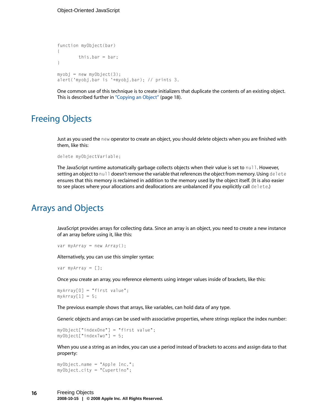```
function myObject(bar)
{
        this.bar = bar;
}
myobj = new myObject(3);alert('myobj.bar is '+myobj.bar); // prints 3.
```
One common use of this technique is to create initializers that duplicate the contents of an existing object. This is described further in ["Copying](#page-17-0) an Object" (page 18).

#### <span id="page-15-0"></span>Freeing Objects

Just as you used the new operator to create an object, you should delete objects when you are finished with them, like this:

```
delete myObjectVariable;
```
The JavaScript runtime automatically garbage collects objects when their value is set to  $null$ . However, setting an object to null doesn't remove the variable that references the object from memory. Using delete ensures that this memory is reclaimed in addition to the memory used by the object itself. (It is also easier to see places where your allocations and deallocations are unbalanced if you explicitly call delete.)

#### <span id="page-15-1"></span>Arrays and Objects

JavaScript provides arrays for collecting data. Since an array is an object, you need to create a new instance of an array before using it, like this:

var myArray = new Array();

Alternatively, you can use this simpler syntax:

```
var myArray = [];
```
Once you create an array, you reference elements using integer values inside of brackets, like this:

```
myArray[0] = "first value";
myArray[1] = 5;
```
The previous example shows that arrays, like variables, can hold data of any type.

Generic objects and arrays can be used with associative properties, where strings replace the index number:

```
myObject["indexOne"] = "first value";
myObject["indexTwo"] = 5;
```
When you use a string as an index, you can use a period instead of brackets to access and assign data to that property:

```
myObject.name = "Apple Inc.";
myObject.city = "Cupertino";
```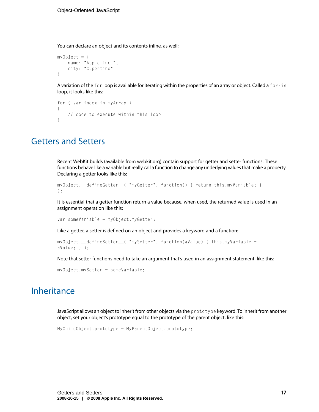You can declare an object and its contents inline, as well:

```
myObject = {
    name: "Apple Inc.",
    city: "Cupertino"
}
```
A variation of the for loop is available for iterating within the properties of an array or object. Called a for-in loop, it looks like this:

```
for ( var index in myArray )
{
   // code to execute within this loop
}
```
#### <span id="page-16-0"></span>Getters and Setters

Recent WebKit builds (available from webkit.org) contain support for getter and setter functions. These functions behave like a variable but really call a function to change any underlying valuesthat make a property. Declaring a getter looks like this:

```
myObject.__defineGetter__( "myGetter", function() { return this.myVariable; }
);
```
It is essential that a getter function return a value because, when used, the returned value is used in an assignment operation like this:

```
var someVariable = myObject.myGetter;
```
Like a getter, a setter is defined on an object and provides a keyword and a function:

```
myObject.__defineSetter__( "mySetter", function(aValue) { this.myVariable =
aValue; } );
```
<span id="page-16-1"></span>Note that setter functions need to take an argument that's used in an assignment statement, like this:

myObject.mySetter = someVariable;

### Inheritance

JavaScript allows an object to inherit from other objects via the prototype keyword. To inherit from another object, set your object's prototype equal to the prototype of the parent object, like this:

MyChildObject.prototype = MyParentObject.prototype;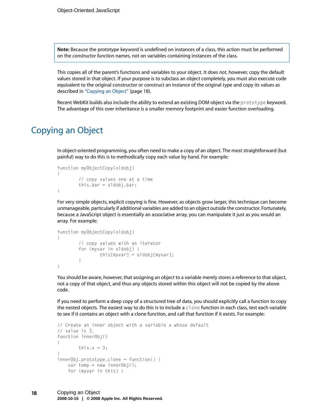**Note:** Because the prototype keyword is undefined on instances of a class, this action must be performed on the *constructor function* names, not on variables containing instances of the class.

This copies all of the parent's functions and variables to your object. It does *not*, however, copy the default values stored in that object. If your purpose is to subclass an object completely, you must also execute code equivalent to the original constructor or construct an instance of the original type and copy its values as described in ["Copying](#page-17-0) an Object" (page 18).

Recent WebKit builds also include the ability to extend an existing DOM object via the prototype keyword. The advantage of this over inheritance is a smaller memory footprint and easier function overloading.

#### <span id="page-17-0"></span>Copying an Object

In object-oriented programming, you often need to make a copy of an object. The most straightforward (but painful) way to do this is to methodically copy each value by hand. For example:

```
function myObjectCopy(oldobj)
{
        // copy values one at a time
        this.bar = oldobj.bar;
}
```
For very simple objects, explicit copying is fine. However, as objects grow larger, this technique can become unmanageable, particularly if additional variables are added to an object outside the constructor. Fortunately, because a JavaScript object is essentially an associative array, you can manipulate it just as you would an array. For example:

```
function myObjectCopy(oldobj)
{
        // copy values with an iterator
        for (myvar in oldobj) {
               this[myvar] = oldobj[myvar];
        }
}
```
You should be aware, however, that assigning an object to a variable merely stores a reference to that object, not a copy of that object, and thus any objects stored within this object will not be copied by the above code.

If you need to perform a deep copy of a structured tree of data, you should explicitly call a function to copy the nested objects. The easiest way to do this is to include a clone function in each class, test each variable to see if it contains an object with a clone function, and call that function if it exists. For example:

```
// Create an inner object with a variable x whose default
// value is 3.
function innerObj()
{
        this.x = 3;
}
innerObj.prototype.clone = function() {
   var temp = new innerObj();
   for (myvar in this) {
```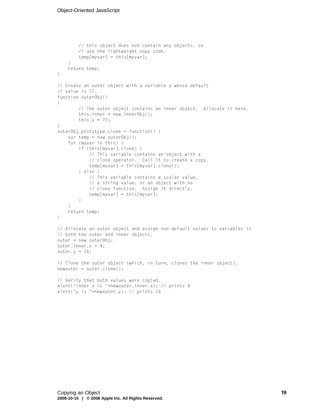```
// this object does not contain any objects, so
        // use the lightweight copy code.
        temp[myvar] = this[myvar];
    }
    return temp;
}
// Create an outer object with a variable y whose default
// value is 77.
function outerObj()
{
        // The outer object contains an inner object. Allocate it here.
        this.inner = new innerObj();
        this.y = 77;
}
outerObj.prototype.clone = function() {
    var temp = new outerObj();
    for (myvar in this) {
        if (this[myvar].clone) {
            // This variable contains an object with a
            // clone operator. Call it to create a copy.
            temp[myvar] = this[myvar].clone();
        } else {
            // This variable contains a scalar value,
            // a string value, or an object with no
            // clone function. Assign it directly.
            temp[myvar] = this[myvar];
        }
    }
    return temp;
}
// Allocate an outer object and assign non-default values to variables in
// both the outer and inner objects.
outer = new outerObj;
outer.inner.x = 4;
outer.y = 16;
// Clone the outer object (which, in turn, clones the inner object).
newouter = outer.clone();
// Verify that both values were copied.
alert('inner x is '+newouter.inner.x); // prints 4
alert('y is '+newouter.y); // prints 16
```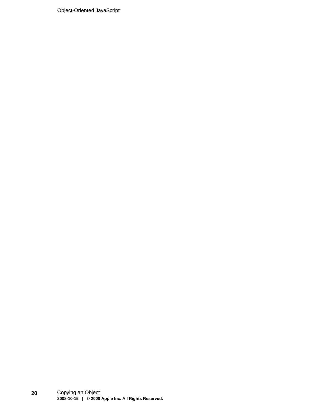Object-Oriented JavaScript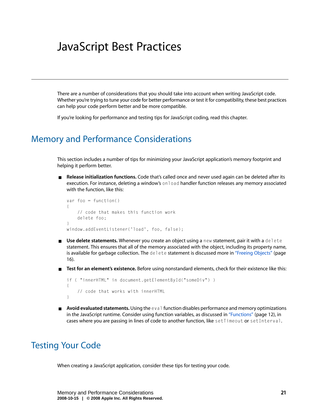## <span id="page-20-0"></span>JavaScript Best Practices

There are a number of considerations that you should take into account when writing JavaScript code. Whether you're trying to tune your code for better performance or test it for compatibility, these best practices can help your code perform better and be more compatible.

If you're looking for performance and testing tips for JavaScript coding, read this chapter.

#### <span id="page-20-1"></span>Memory and Performance Considerations

This section includes a number of tips for minimizing your JavaScript application's memory footprint and helping it perform better.

**Release initialization functions.** Code that's called once and never used again can be deleted after its execution. For instance, deleting a window's onload handler function releases any memory associated with the function, like this:

```
var foo = function()
{
   // code that makes this function work
   delete foo;
}
window.addEventListener('load', foo, false);
```
- **Use delete statements.** Whenever you create an object using a new statement, pair it with a delete statement. This ensures that all of the memory associated with the object, including its property name, is available for garbage collection. The delete statement is discussed more in "Freeing [Objects"](#page-15-0) (page 16).
- **Test for an element's existence.** Before using nonstandard elements, check for their existence like this:

```
if ( "innerHTML" in document.getElementById("someDiv") )
{
    // code that works with innerHTML
}
```
<span id="page-20-2"></span>■ **Avoid evaluated statements.** Using the eval function disables performance and memory optimizations in the JavaScript runtime. Consider using function variables, as discussed in ["Functions"](#page-11-1) (page 12), in cases where you are passing in lines of code to another function, like setTimeout or setInterval.

#### Testing Your Code

When creating a JavaScript application, consider these tips for testing your code.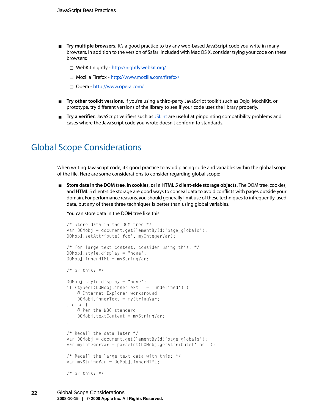- **Try multiple browsers.** It's a good practice to try any web-based JavaScript code you write in many browsers. In addition to the version of Safari included with Mac OS X, consider trying your code on these browsers:
	- ❏ WebKit nightly <http://nightly.webkit.org/>
	- ❏ Mozilla Firefox <http://www.mozilla.com/firefox/>
	- ❏ Opera <http://www.opera.com/>
- **Try other toolkit versions.** If you're using a third-party JavaScript toolkit such as Dojo, MochiKit, or prototype, try different versions of the library to see if your code uses the library properly.
- **Try a verifier.** JavaScript verifiers such as [JSLint](http://www.jslint.com/) are useful at pinpointing compatibility problems and cases where the JavaScript code you wrote doesn't conform to standards.

#### <span id="page-21-0"></span>Global Scope Considerations

When writing JavaScript code, it's good practice to avoid placing code and variables within the global scope of the file. Here are some considerations to consider regarding global scope:

■ **Store data in the DOM tree, in cookies, orin HTML 5 client-side storage objects.** The DOM tree, cookies, and HTML 5 client-side storage are good ways to conceal data to avoid conflicts with pages outside your domain. For performance reasons, you should generally limit use of these techniquesto infrequently-used data, but any of these three techniques is better than using global variables.

You can store data in the DOM tree like this:

```
/* Store data in the DOM tree */
var DOMobj = document.getElementById('page_globals');
DOMobj.setAttribute('foo', myIntegerVar);
/* for large text content, consider using this: */DOMobj.style.display = "none";
DOMobj.innerHTML = myStringVar;
/* or this: */DOMobj.style.display = "none";
if (typeof(DOMobj.innerText) != 'undefined') {
    # Internet Explorer workaround
   DOMobj.innerText = myStringVar;
} else {
    # Per the W3C standard
   DOMobj.textContent = myStringVar;
}
/* Recall the data later */
var DOMobj = document.getElementById('page_globals');
var myIntegerVar = parseInt(DOMobj.getAttribute('foo'));
/* Recall the large text data with this: */
var myStringVar = DOMobj.innerHTML;
/* or this: */
```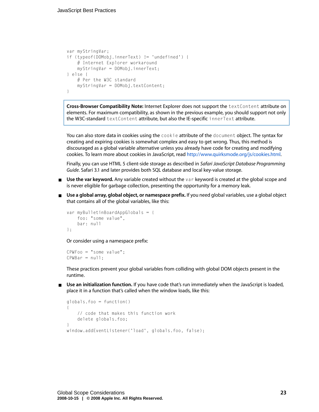```
var myStringVar;
if (typeof(DOMobj.innerText) != 'undefined') {
    # Internet Explorer workaround
   myStringVar = DOMobj.innerText;
} else {
   # Per the W3C standard
   myStringVar = DOMobj.textContent;
}
```
**Cross-Browser Compatibility Note:** Internet Explorer does not support the textContent attribute on elements. For maximum compatibility, as shown in the previous example, you should support not only the W3C-standard textContent attribute, but also the IE-specific innerText attribute.

You can also store data in cookies using the cookie attribute of the document object. The syntax for creating and expiring cookies is somewhat complex and easy to get wrong. Thus, this method is discouraged as a global variable alternative unless you already have code for creating and modifying cookies. To learn more about cookies in JavaScript, read [http://www.quirksmode.org/js/cookies.html.](http://www.quirksmode.org/js/cookies.html)

Finally, you can use HTML 5 client-side storage as described in *Safari JavaScript Database Programming Guide*. Safari 3.1 and later provides both SQL database and local key-value storage.

- **Use the var keyword.** Any variable created without the var keyword is created at the global scope and is never eligible for garbage collection, presenting the opportunity for a memory leak.
- **Use a global array, global object, or namespace prefix.** If you need global variables, use a global object that contains all of the global variables, like this:

```
var myBulletinBoardAppGlobals = {
   foo: "some value",
   bar: null
};
```
Or consider using a namespace prefix:

```
CPWFoo = "some value";
CPWBar = null;
```
These practices prevent your global variables from colliding with global DOM objects present in the runtime.

■ **Use an initialization function.** If you have code that's run immediately when the JavaScript is loaded, place it in a function that's called when the window loads, like this:

```
globals.foo = function()
{
   // code that makes this function work
   delete globals.foo;
}
window.addEventListener('load', globals.foo, false);
```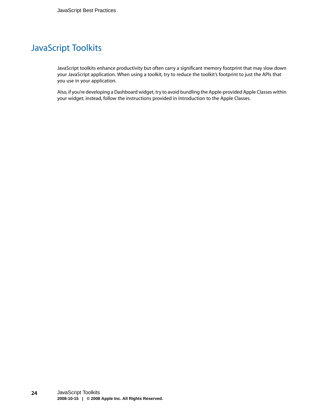### <span id="page-23-0"></span>JavaScript Toolkits

JavaScript toolkits enhance productivity but often carry a significant memory footprint that may slow down your JavaScript application. When using a toolkit, try to reduce the toolkit's footprint to just the APIs that you use in your application.

Also, if you're developing a Dashboard widget, try to avoid bundling the Apple-provided Apple Classes within your widget; instead, follow the instructions provided in Introduction to the Apple Classes.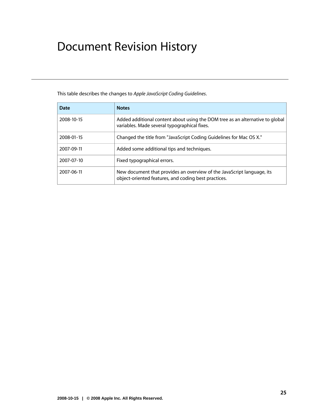## <span id="page-24-0"></span>Document Revision History

This table describes the changes to *Apple JavaScript Coding Guidelines*.

| Date       | <b>Notes</b>                                                                                                                   |
|------------|--------------------------------------------------------------------------------------------------------------------------------|
| 2008-10-15 | Added additional content about using the DOM tree as an alternative to global<br>variables. Made several typographical fixes.  |
| 2008-01-15 | Changed the title from "JavaScript Coding Guidelines for Mac OS X."                                                            |
| 2007-09-11 | Added some additional tips and techniques.                                                                                     |
| 2007-07-10 | Fixed typographical errors.                                                                                                    |
| 2007-06-11 | New document that provides an overview of the JavaScript language, its<br>object-oriented features, and coding best practices. |